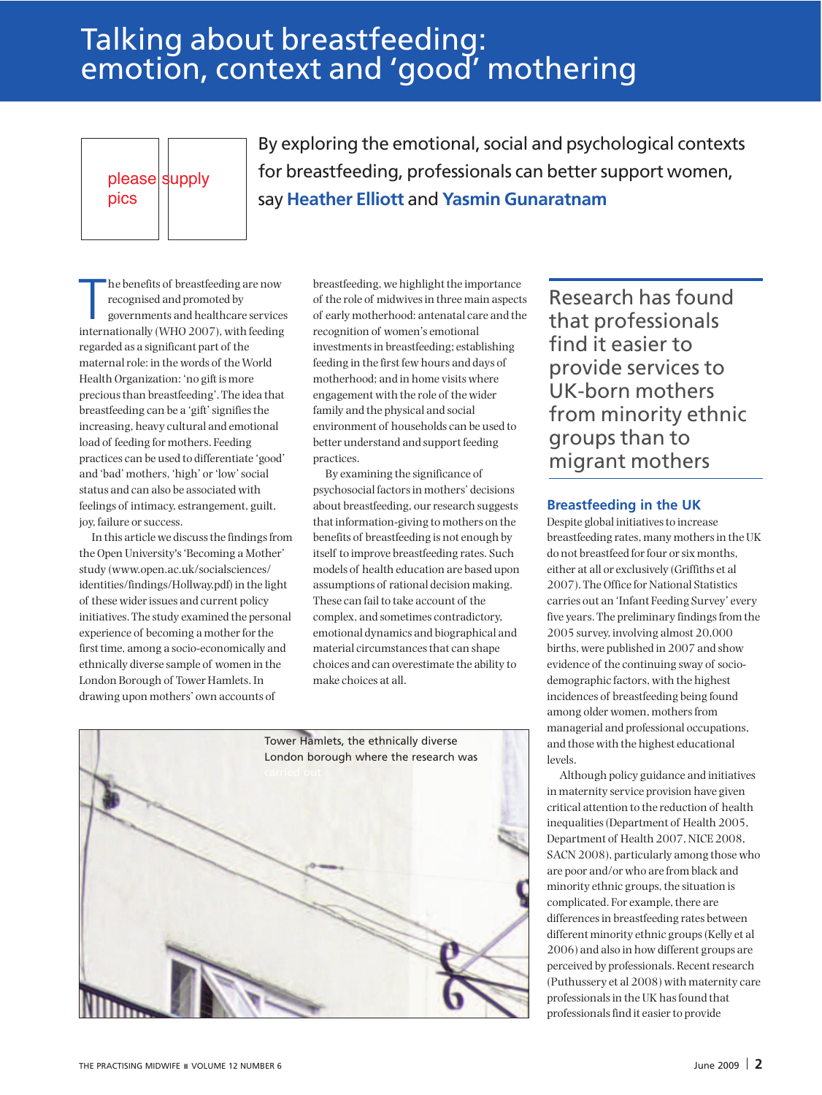## Talking about breastfeeding: emotion, context and 'good' mothering

please supply pics

By exploring the emotional, social and psychological contexts for breastfeeding, professionals can better support women, say **Heather Elliott** and **Yasmin Gunaratnam**

The benefits of breastfeeding are now<br>recognised and promoted by<br>governments and healthcare service<br>internationally (WHO 2007), with feeding he benefits of breastfeeding are now recognised and promoted by governments and healthcare services regarded as a significant part of the maternal role: in the words of the World Health Organization: 'no gift is more preciousthan breastfeeding'.The idea that breastfeeding can be a 'gift'signifiesthe increasing, heavy cultural and emotional load of feeding for mothers. Feeding practices can be used to differentiate 'good' and 'bad' mothers, 'high' or'low'social status and can also be associated with feelings of intimacy, estrangement, guilt, joy, failure or success.

In this article we discuss the findings from the Open University's'Becoming a Mother' study (www.open.ac.uk/socialsciences/ identities/findings/Hollway.pdf) in the light of these widerissues and current policy initiatives.The study examined the personal experience of becoming a mother for the first time, among a socio-economically and ethnically diverse sample of women in the London Borough of Tower Hamlets. In drawing upon mothers' own accounts of

breastfeeding, we highlight the importance of the role of midwivesin three main aspects of early motherhood: antenatal care and the recognition of women's emotional investmentsin breastfeeding; establishing feeding in the first few hours and days of motherhood; and in home visits where engagement with the role of the wider family and the physical and social environment of households can be used to better understand and support feeding practices.

By examining the significance of psychosocial factorsin mothers' decisions about breastfeeding, our research suggests that information-giving to mothers on the benefits of breastfeeding is not enough by itself to improve breastfeeding rates. Such models of health education are based upon assumptions of rational decision making. These can fail to take account of the complex, and sometimes contradictory, emotional dynamics and biographical and material circumstances that can shape choices and can overestimate the ability to make choices at all.



Research has found that professionals find it easier to provide services to UK-born mothers from minority ethnic groups than to migrant mothers

#### **Breastfeeding in the UK**

Despite global initiatives to increase breastfeeding rates, many mothersin the UK do not breastfeed for four or six months, either at all or exclusively (Griffiths et al 2007).The Office for National Statistics carries out an 'Infant Feeding Survey' every five years. The preliminary findings from the 2005 survey, involving almost 20,000 births, were published in 2007 and show evidence of the continuing sway of sociodemographic factors, with the highest incidences of breastfeeding being found among older women, mothers from managerial and professional occupations, and those with the highest educational levels.

Although policy guidance and initiatives in maternity service provision have given critical attention to the reduction of health inequalities(Department of Health 2005, Department of Health 2007, NICE 2008, SACN 2008), particularly among those who are poor and/or who are from black and minority ethnic groups, the situation is complicated. For example, there are differences in breastfeeding rates between different minority ethnic groups(Kelly et al 2006) and also in how different groups are perceived by professionals. Recentresearch (Puthussery et al 2008) with maternity care professionalsin the UK hasfound that professionals find it easier to provide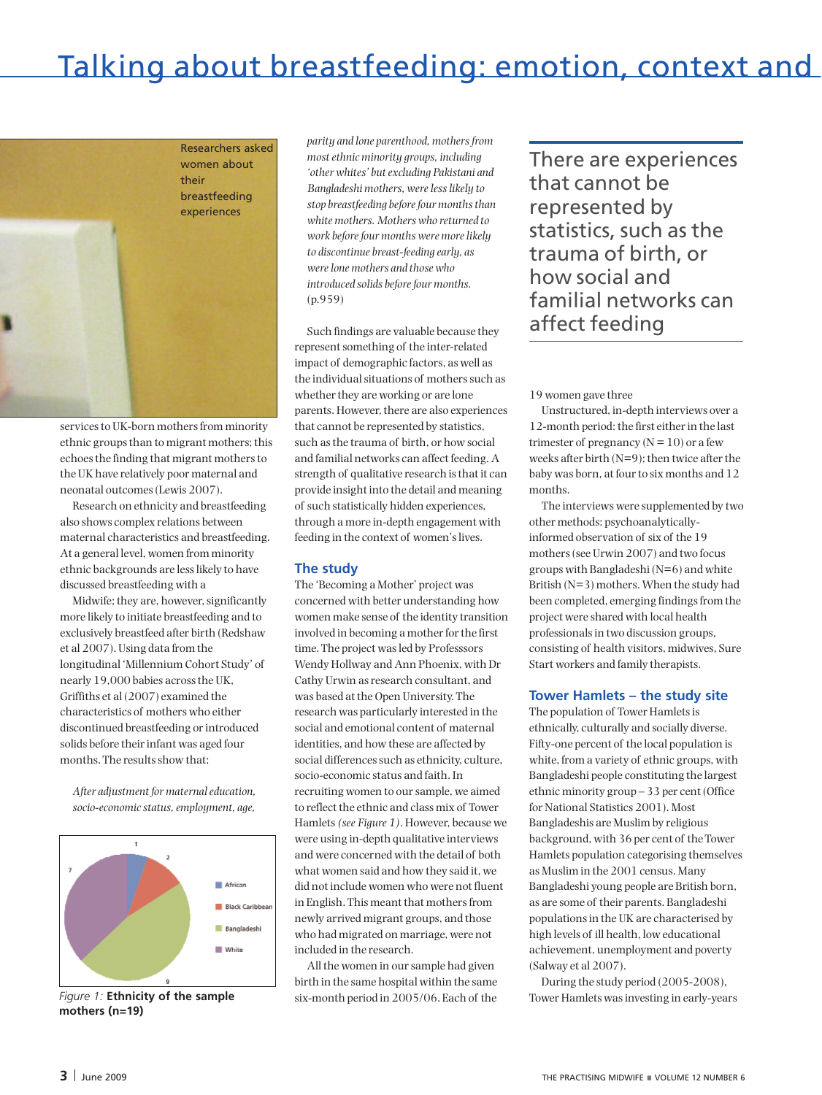# Talking about breastfeeding: emotion, context and



services to UK-born mothers from minority ethnic groups than to migrant mothers; this echoesthe finding that migrant mothersto the UK have relatively poor maternal and neonatal outcomes(Lewis 2007).

Research on ethnicity and breastfeeding also shows complex relations between maternal characteristics and breastfeeding. At a general level, women from minority ethnic backgrounds are lesslikely to have discussed breastfeeding with a

Midwife; they are, however, significantly more likely to initiate breastfeeding and to exclusively breastfeed after birth (Redshaw et al 2007). Using data from the longitudinal 'Millennium Cohort Study' of nearly 19,000 babies acrossthe UK, Griffiths et al (2007) examined the characteristics of mothers who either discontinued breastfeeding or introduced solids before their infant was aged four months. The results show that:

*After adjustment for maternaleducation, socio-economicstatus,employment, age,*



*Figure 1:* **Ethnicity of the sample mothers (n=19)**

*parity and lone parenthood, mothersfrom mostethnic minority groups, including 'other whites' butexcluding Pakistani and Bangladeshi mothers, werelesslikely to stop breastfeeding beforefour monthsthan white mothers. Mothers who returned to work beforefour months were morelikely to discontinue breast-feeding early, as werelone mothers and those who introduced solids beforefour months.* (p.959)

Such findings are valuable because they represent something of the inter-related impact of demographic factors, as well as the individual situations of mothers such as whether they are working or are lone parents. However, there are also experiences that cannot be represented by statistics, such asthe trauma of birth, or how social and familial networks can affect feeding. A strength of qualitative research is that it can provide insight into the detail and meaning of such statistically hidden experiences, through a more in-depth engagement with feeding in the context of women'slives.

## **The study**

The 'Becoming a Mother' project was concerned with better understanding how women make sense of the identity transition involved in becoming a mother for the first time. The project was led by Professsors Wendy Hollway and Ann Phoenix, with Dr Cathy Urwin asresearch consultant, and was based at the Open University.The research was particularly interested in the social and emotional content of maternal identities, and how these are affected by social differences such as ethnicity, culture, socio-economic status and faith. In recruiting women to oursample, we aimed to reflect the ethnic and class mix of Tower Hamlets*(see Figure 1)*. However, because we were using in-depth qualitative interviews and were concerned with the detail of both what women said and how they said it, we did not include women who were not fluent in English. This meant that mothers from newly arrived migrant groups, and those who had migrated on marriage, were not included in the research.

All the women in oursample had given birth in the same hospital within the same six-month period in 2005/06. Each of the There are experiences that cannot be represented by statistics, such as the trauma of birth, or how social and familial networks can affect feeding

#### 19 women gave three

Unstructured, in-depth interviews over a 12-month period: the first eitherin the last trimester of pregnancy  $(N = 10)$  or a few weeks after birth  $(N=9)$ ; then twice after the baby was born, at four to six months and 12 months.

The interviews were supplemented by two other methods: psychoanalyticallyinformed observation of six of the 19 mothers(see Urwin 2007) and two focus groups with Bangladeshi (N=6) and white British (N=3) mothers. When the study had been completed, emerging findingsfrom the project were shared with local health professionalsin two discussion groups, consisting of health visitors, midwives, Sure Start workers and family therapists.

#### **Tower Hamlets – the study site**

The population of Tower Hamletsis ethnically, culturally and socially diverse. Fifty-one percent of the local population is white, from a variety of ethnic groups, with Bangladeshi people constituting the largest ethnic minority group – 33 per cent (Office for National Statistics 2001). Most Bangladeshis are Muslim by religious background, with 36 per cent of theTower Hamlets population categorising themselves as Muslim in the 2001 census. Many Bangladeshi young people are British born, as are some of their parents. Bangladeshi populationsin the UK are characterised by high levels of ill health, low educational achievement, unemployment and poverty (Salway et al 2007).

During the study period (2005-2008), Tower Hamlets wasinvesting in early-years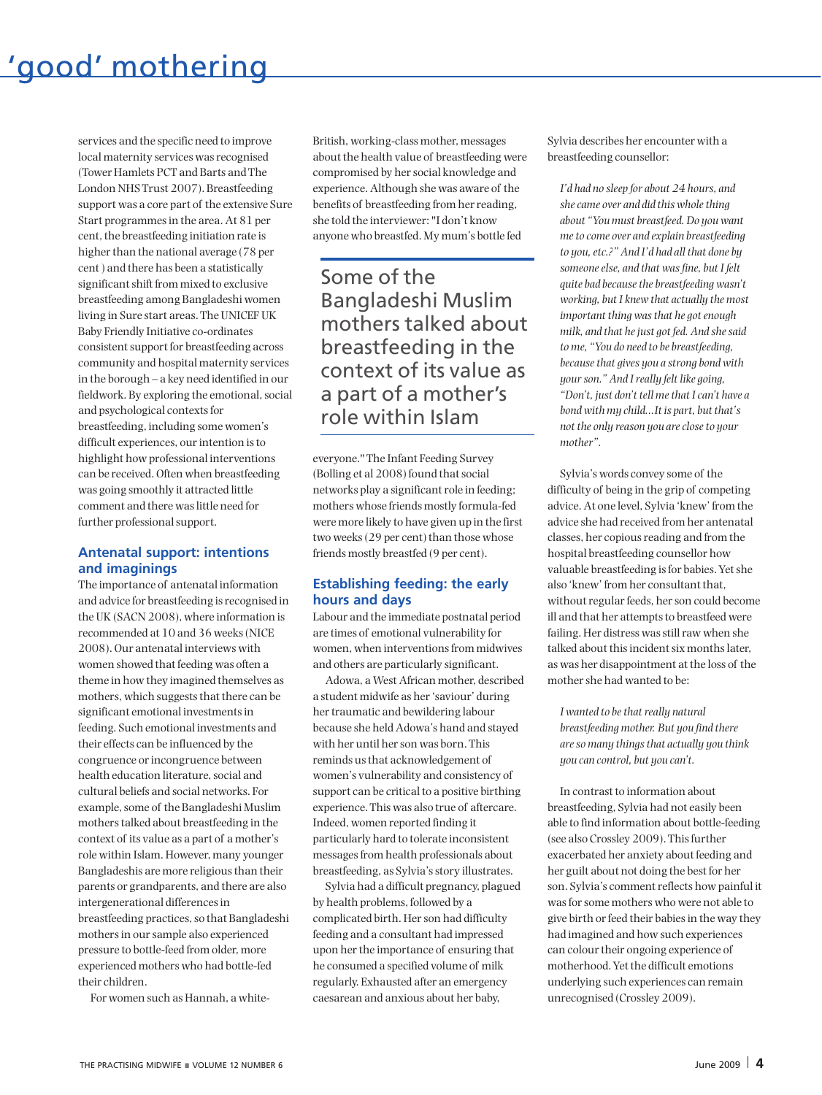# 'good' mothering

services and the specific need to improve local maternity services was recognised (Tower Hamlets PCT and Barts andThe London NHSTrust 2007). Breastfeeding support was a core part of the extensive Sure Start programmesin the area. At 81 per cent, the breastfeeding initiation rate is higher than the national average (78 per cent ) and there has been a statistically significant shift from mixed to exclusive breastfeeding among Bangladeshi women living in Sure start areas.The UNICEF UK Baby Friendly Initiative co-ordinates consistent support for breastfeeding across community and hospital maternity services in the borough – a key need identified in our fieldwork. By exploring the emotional, social and psychological contexts for breastfeeding, including some women's difficult experiences, our intention is to highlight how professional interventions can be received. Often when breastfeeding was going smoothly it attracted little comment and there waslittle need for further professional support.

## **Antenatal support: intentions and imaginings**

The importance of antenatal information and advice for breastfeeding is recognised in the UK (SACN 2008), where information is recommended at 10 and 36 weeks(NICE 2008). Our antenatal interviews with women showed that feeding was often a theme in how they imagined themselves as mothers, which suggests that there can be significant emotional investments in feeding. Such emotional investments and their effects can be influenced by the congruence orincongruence between health education literature, social and cultural beliefs and social networks. For example, some of the Bangladeshi Muslim motherstalked about breastfeeding in the context of its value as a part of a mother's role within Islam. However, many younger Bangladeshis are more religiousthan their parents or grandparents, and there are also intergenerational differencesin breastfeeding practices, so that Bangladeshi mothersin oursample also experienced pressure to bottle-feed from older, more experienced mothers who had bottle-fed their children.

For women such as Hannah, a white-

British, working-class mother, messages about the health value of breastfeeding were compromised by her social knowledge and experience. Although she was aware of the benefits of breastfeeding from her reading. she told the interviewer: "I don't know anyone who breastfed. My mum's bottle fed

Some of the Bangladeshi Muslim mothers talked about breastfeeding in the context of its value as a part of a mother's role within Islam

everyone."The Infant Feeding Survey (Bolling et al 2008) found that social networks play a significant role in feeding; mothers whose friends mostly formula-fed were more likely to have given up in the first two weeks(29 per cent) than those whose friends mostly breastfed (9 per cent).

#### **Establishing feeding: the early hours and days**

Labour and the immediate postnatal period are times of emotional vulnerability for women, when interventions from midwives and others are particularly significant.

Adowa, a West African mother, described a student midwife as her'saviour' during her traumatic and bewildering labour because she held Adowa's hand and stayed with her until her son was born. This reminds us that acknowledgement of women's vulnerability and consistency of support can be critical to a positive birthing experience.This was also true of aftercare. Indeed, women reported finding it particularly hard to tolerate inconsistent messagesfrom health professionals about breastfeeding, as Sylvia's story illustrates.

Sylvia had a difficult pregnancy, plagued by health problems, followed by a complicated birth. Her son had difficulty feeding and a consultant had impressed upon herthe importance of ensuring that he consumed a specified volume of milk regularly. Exhausted after an emergency caesarean and anxious about her baby,

Sylvia describes her encounter with a breastfeeding counsellor:

*I'd had no sleep for about 24 hours, and shecame over and did this wholething about "You must breastfeed. Do you want meto come over and explain breastfeeding to you,etc.?" And I'd had all that done by someoneelse, and that wasfine, but I felt quite bad becausethe breastfeeding wasn't working, but I knew that actually the most important thing wasthat he gotenough milk, and that hejust got fed. And shesaid to me, "You do need to be breastfeeding, becausethat gives you a strong bond with yourson." And Ireally felt like going, "Don't, just don't tell methat Ican't have a bond with my child...It is part, but that's not the only reason you arecloseto your mother".*

Sylvia's words convey some of the difficulty of being in the grip of competing advice. At one level, Sylvia 'knew' from the advice she had received from her antenatal classes, her copious reading and from the hospital breastfeeding counsellor how valuable breastfeeding is for babies. Yet she also 'knew' from her consultant that, without regular feeds, her son could become ill and that her attempts to breastfeed were failing. Her distress was still raw when she talked about this incident six months later, as was her disappointment at the loss of the mother she had wanted to be:

*I* wanted to be that really natural *breastfeeding mother. But you find there areso many thingsthat actually you think you can control, but you can't.*

In contrast to information about breastfeeding, Sylvia had not easily been able to find information about bottle-feeding (see also Crossley 2009). This further exacerbated her anxiety about feeding and her guilt about not doing the best for her son. Sylvia's comment reflects how painful it was for some mothers who were not able to give birth or feed their babies in the way they had imagined and how such experiences can colour their ongoing experience of motherhood.Yet the difficult emotions underlying such experiences can remain unrecognised (Crossley 2009).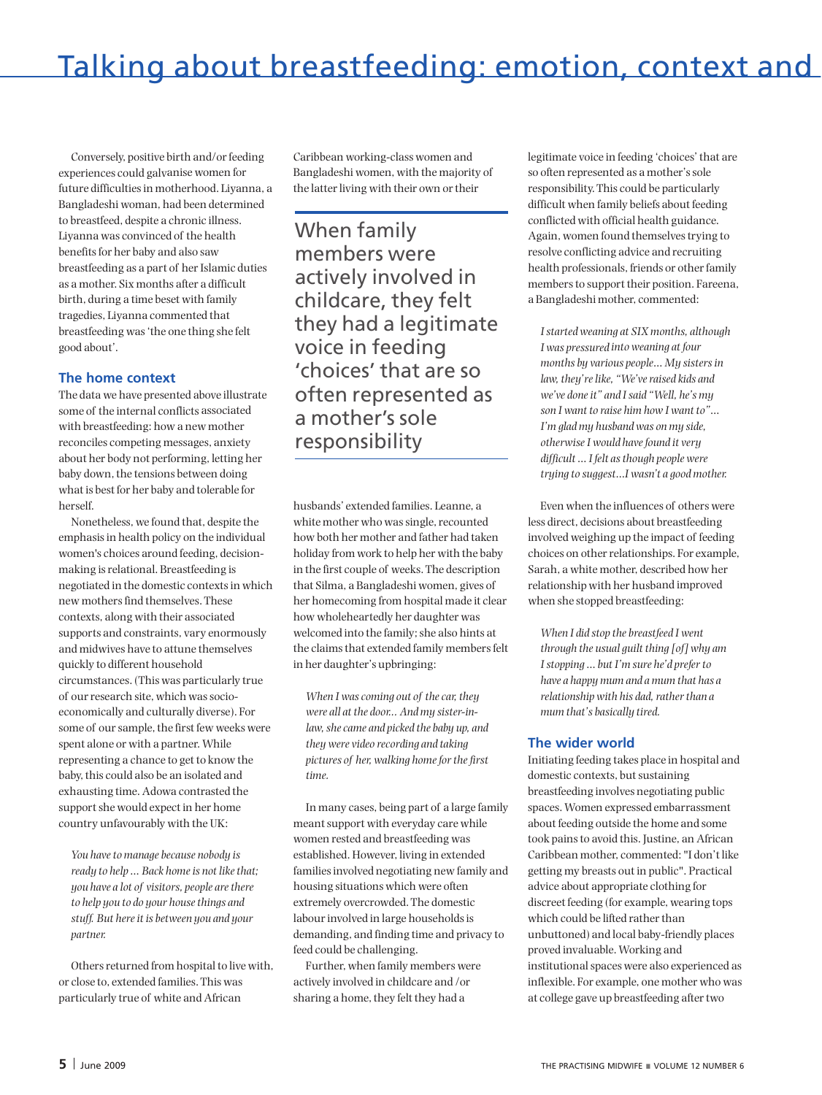Conversely, positive birth and/or feeding experiences could galvanise women for future difficultiesin motherhood. Liyanna, <sup>a</sup> Bangladeshi woman, had been determined to breastfeed, despite <sup>a</sup> chronic illness. Liyanna was convinced of the health benefits for her baby and also saw breastfeeding as a part of her Islamic duties as <sup>a</sup> mother. Six months after <sup>a</sup> difficult birth, during <sup>a</sup> time beset with family tragedies, Liyanna commented that breastfeeding was'the one thing she felt good about'.

## **The home context**

The data we have presented above illustrate some of the internal conflicts associated with breastfeeding: how <sup>a</sup> new mother reconciles competing messages, anxiety about her body not performing, letting her baby down, the tensions between doing what is best for her baby and tolerable for herself.

Nonetheless, we found that, despite the emphasisin health policy on the individual women's choices around feeding, decisionmaking isrelational. Breastfeeding is negotiated in the domestic contextsin which new mothers find themselves. These contexts, along with their associated supports and constraints, vary enormously and midwives have to attune themselves quickly to different household circumstances. (This was particularly true of ourresearch site, which wassocioeconomically and culturally diverse). For some of oursample, the first few weeks were spent alone or with <sup>a</sup> partner. While representing <sup>a</sup> chance to get to know the baby, this could also be an isolated and exhausting time. Adowa contrasted the support she would expect in her home country unfavourably with the UK:

*You have to manage because nobody is ready to help* ... Back home is not like that; *you have <sup>a</sup> lot of visitors, people arethere to help you to do your housethings and stuff. But hereit is between you and your partner.*

Others returned from hospital to live with, or close to, extended families.This was particularly true of white and African

Caribbean working-class women and Bangladeshi women, with the majority of the latter living with their own or their

When family members were actively involved in childcare, they felt they had a legitimate voice in feeding 'choices' that are so often represented as a mother's sole responsibility

husbands' extended families. Leanne, <sup>a</sup> white mother who was single, recounted how both her mother and father had taken holiday from work to help her with the baby in the first couple of weeks.The description that Silma, <sup>a</sup> Bangladeshi women, gives of her homecoming from hospital made it clear how wholeheartedly her daughter was welcomed into the family; she also hints at the claims that extended family members felt in her daughter's upbringing:

*When I wascoming out of thecar, they were all at the door... And my sister-inlaw,shecame and picked the baby up, and they were video recording and taking pictures of her, walking homeforthefirst time.*

In many cases, being part of <sup>a</sup> large family meantsupport with everyday care while women rested and breastfeeding was established. However, living in extended families involved negotiating new family and housing situations which were often extremely overcrowded.The domestic labour involved in large households is demanding, and finding time and privacy to feed could be challenging.

Further, when family members were actively involved in childcare and /or sharing <sup>a</sup> home, they felt they had <sup>a</sup>

legitimate voice in feeding 'choices' that are so often represented as a mother's sole responsibility.This could be particularly difficult when family beliefs about feeding conflicted with official health guidance. Again, women found themselvestrying to resolve conflicting advice and recruiting health professionals, friends or other family members to support their position. Fareena, <sup>a</sup> Bangladeshi mother, commented:

*Istarted weaning at SIX months, although I was pressured into weaning at four months by various people… My sistersin law, they'relike, "We'veraised kids and we've doneit" and Isaid "Well, he's my son I want to raise him how I want to"… I'm glad my husband was on my side, otherwiseI would havefound it very difficult … I felt asthough people were trying to suggest…I wasn't <sup>a</sup> good mother.*

Even when the influences of others were less direct, decisions about breastfeeding involved weighing up the impact of feeding choices on other relationships. For example, Sarah, <sup>a</sup> white mother, described how her relationship with her husband improved when she stopped breastfeeding:

*When I did stop the breastfeed I went through the usual guilt thing [of] why am Istopping … but I'm sure he'd preferto have <sup>a</sup> happy mum and <sup>a</sup> mum that has <sup>a</sup> relationship* with his dad, rather than a *mum that's basically tired.*

#### **The wider world**

Initiating feeding takes place in hospital and domestic contexts, but sustaining breastfeeding involves negotiating public spaces. Women expressed embarrassment about feeding outside the home and some took painsto avoid this. Justine, an African Caribbean mother, commented: "I don't like getting my breasts out in public". Practical advice about appropriate clothing for discreet feeding (for example, wearing tops which could be lifted rather than unbuttoned) and local baby-friendly places proved invaluable. Working and institutional spaces were also experienced as inflexible. For example, one mother who was at college gave up breastfeeding after two